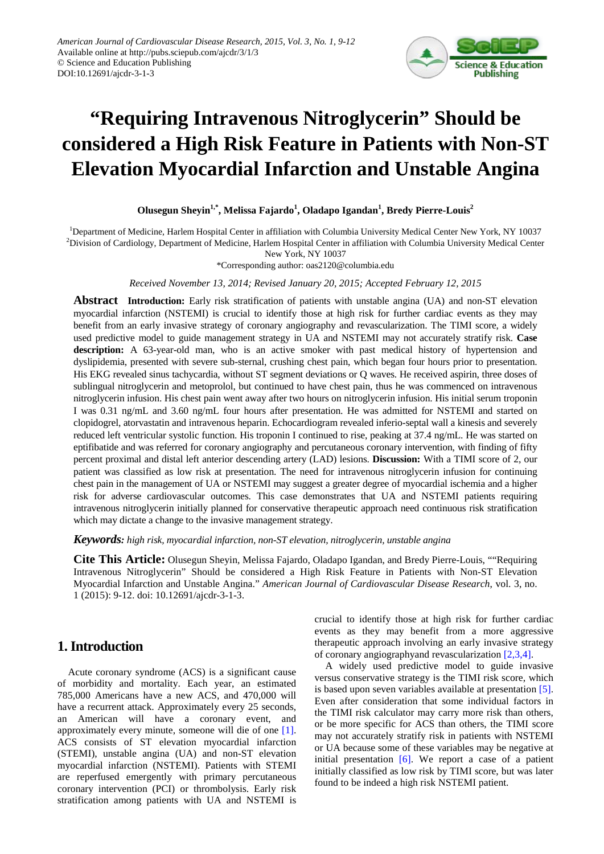

# **"Requiring Intravenous Nitroglycerin" Should be considered a High Risk Feature in Patients with Non-ST Elevation Myocardial Infarction and Unstable Angina**

**Olusegun Sheyin1,\* , Melissa Fajardo<sup>1</sup> , Oladapo Igandan1 , Bredy Pierre-Louis2**

<sup>1</sup>Department of Medicine, Harlem Hospital Center in affiliation with Columbia University Medical Center New York, NY 10037  $^{2}$ Division of Cardiology, Department of Medicine, Harlem Hospital Center in affiliation with Columbia University Medical Center New York, NY 10037

\*Corresponding author: oas2120@columbia.edu

*Received November 13, 2014; Revised January 20, 2015; Accepted February 12, 2015*

**Abstract Introduction:** Early risk stratification of patients with unstable angina (UA) and non-ST elevation myocardial infarction (NSTEMI) is crucial to identify those at high risk for further cardiac events as they may benefit from an early invasive strategy of coronary angiography and revascularization. The TIMI score, a widely used predictive model to guide management strategy in UA and NSTEMI may not accurately stratify risk. **Case description:** A 63-year-old man, who is an active smoker with past medical history of hypertension and dyslipidemia, presented with severe sub-sternal, crushing chest pain, which began four hours prior to presentation. His EKG revealed sinus tachycardia, without ST segment deviations or Q waves. He received aspirin, three doses of sublingual nitroglycerin and metoprolol, but continued to have chest pain, thus he was commenced on intravenous nitroglycerin infusion. His chest pain went away after two hours on nitroglycerin infusion. His initial serum troponin I was 0.31 ng/mL and 3.60 ng/mL four hours after presentation. He was admitted for NSTEMI and started on clopidogrel, atorvastatin and intravenous heparin. Echocardiogram revealed inferio-septal wall a kinesis and severely reduced left ventricular systolic function. His troponin I continued to rise, peaking at 37.4 ng/mL. He was started on eptifibatide and was referred for coronary angiography and percutaneous coronary intervention, with finding of fifty percent proximal and distal left anterior descending artery (LAD) lesions. **Discussion:** With a TIMI score of 2, our patient was classified as low risk at presentation. The need for intravenous nitroglycerin infusion for continuing chest pain in the management of UA or NSTEMI may suggest a greater degree of myocardial ischemia and a higher risk for adverse cardiovascular outcomes. This case demonstrates that UA and NSTEMI patients requiring intravenous nitroglycerin initially planned for conservative therapeutic approach need continuous risk stratification which may dictate a change to the invasive management strategy.

*Keywords: high risk, myocardial infarction, non-ST elevation, nitroglycerin, unstable angina*

**Cite This Article:** Olusegun Sheyin, Melissa Fajardo, Oladapo Igandan, and Bredy Pierre-Louis, ""Requiring Intravenous Nitroglycerin" Should be considered a High Risk Feature in Patients with Non-ST Elevation Myocardial Infarction and Unstable Angina." *American Journal of Cardiovascular Disease Research*, vol. 3, no. 1 (2015): 9-12. doi: 10.12691/ajcdr-3-1-3.

### **1. Introduction**

Acute coronary syndrome (ACS) is a significant cause of morbidity and mortality. Each year, an estimated 785,000 Americans have a new ACS, and 470,000 will have a recurrent attack. Approximately every 25 seconds, an American will have a coronary event, and approximately every minute, someone will die of one [\[1\].](#page-3-0) ACS consists of ST elevation myocardial infarction (STEMI), unstable angina (UA) and non-ST elevation myocardial infarction (NSTEMI). Patients with STEMI are reperfused emergently with primary percutaneous coronary intervention (PCI) or thrombolysis. Early risk stratification among patients with UA and NSTEMI is

crucial to identify those at high risk for further cardiac events as they may benefit from a more aggressive therapeutic approach involving an early invasive strategy of coronary angiographyand revascularization [\[2,3,4\].](#page-3-1)

A widely used predictive model to guide invasive versus conservative strategy is the TIMI risk score, which is based upon seven variables available at presentation [\[5\].](#page-3-2) Even after consideration that some individual factors in the TIMI risk calculator may carry more risk than others, or be more specific for ACS than others, the TIMI score may not accurately stratify risk in patients with NSTEMI or UA because some of these variables may be negative at initial presentation  $[6]$ . We report a case of a patient initially classified as low risk by TIMI score, but was later found to be indeed a high risk NSTEMI patient.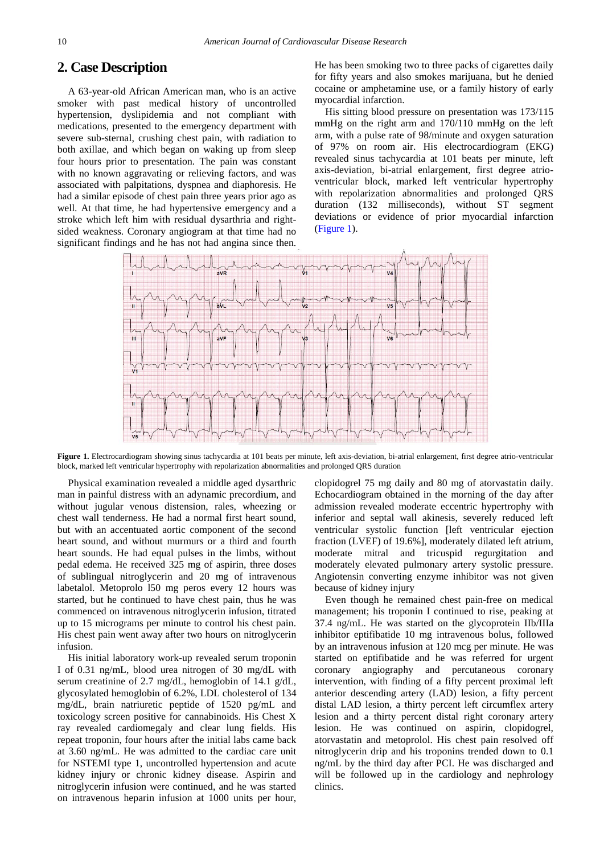#### **2. Case Description**

A 63-year-old African American man, who is an active smoker with past medical history of uncontrolled hypertension, dyslipidemia and not compliant with medications, presented to the emergency department with severe sub-sternal, crushing chest pain, with radiation to both axillae, and which began on waking up from sleep four hours prior to presentation. The pain was constant with no known aggravating or relieving factors, and was associated with palpitations, dyspnea and diaphoresis. He had a similar episode of chest pain three years prior ago as well. At that time, he had hypertensive emergency and a stroke which left him with residual dysarthria and rightsided weakness. Coronary angiogram at that time had no significant findings and he has not had angina since then. He has been smoking two to three packs of cigarettes daily for fifty years and also smokes marijuana, but he denied cocaine or amphetamine use, or a family history of early myocardial infarction.

His sitting blood pressure on presentation was 173/115 mmHg on the right arm and 170/110 mmHg on the left arm, with a pulse rate of 98/minute and oxygen saturation of 97% on room air. His electrocardiogram (EKG) revealed sinus tachycardia at 101 beats per minute, left axis-deviation, bi-atrial enlargement, first degree atrioventricular block, marked left ventricular hypertrophy with repolarization abnormalities and prolonged QRS duration (132 milliseconds), without ST segment deviations or evidence of prior myocardial infarction (Figure 1).



Figure 1. Electrocardiogram showing sinus tachycardia at 101 beats per minute, left axis-deviation, bi-atrial enlargement, first degree atrio-ventricular block, marked left ventricular hypertrophy with repolarization abnormalities and prolonged QRS duration

Physical examination revealed a middle aged dysarthric man in painful distress with an adynamic precordium, and without jugular venous distension, rales, wheezing or chest wall tenderness. He had a normal first heart sound, but with an accentuated aortic component of the second heart sound, and without murmurs or a third and fourth heart sounds. He had equal pulses in the limbs, without pedal edema. He received 325 mg of aspirin, three doses of sublingual nitroglycerin and 20 mg of intravenous labetalol. Metoprolo l50 mg peros every 12 hours was started, but he continued to have chest pain, thus he was commenced on intravenous nitroglycerin infusion, titrated up to 15 micrograms per minute to control his chest pain. His chest pain went away after two hours on nitroglycerin infusion.

His initial laboratory work-up revealed serum troponin I of 0.31 ng/mL, blood urea nitrogen of 30 mg/dL with serum creatinine of 2.7 mg/dL, hemoglobin of 14.1 g/dL, glycosylated hemoglobin of 6.2%, LDL cholesterol of 134 mg/dL, brain natriuretic peptide of 1520 pg/mL and toxicology screen positive for cannabinoids. His Chest X ray revealed cardiomegaly and clear lung fields. His repeat troponin, four hours after the initial labs came back at 3.60 ng/mL. He was admitted to the cardiac care unit for NSTEMI type 1, uncontrolled hypertension and acute kidney injury or chronic kidney disease. Aspirin and nitroglycerin infusion were continued, and he was started on intravenous heparin infusion at 1000 units per hour, clopidogrel 75 mg daily and 80 mg of atorvastatin daily. Echocardiogram obtained in the morning of the day after admission revealed moderate eccentric hypertrophy with inferior and septal wall akinesis, severely reduced left ventricular systolic function [left ventricular ejection fraction (LVEF) of 19.6%], moderately dilated left atrium, moderate mitral and tricuspid regurgitation and moderately elevated pulmonary artery systolic pressure. Angiotensin converting enzyme inhibitor was not given because of kidney injury

Even though he remained chest pain-free on medical management; his troponin I continued to rise, peaking at 37.4 ng/mL. He was started on the glycoprotein IIb/IIIa inhibitor eptifibatide 10 mg intravenous bolus, followed by an intravenous infusion at 120 mcg per minute. He was started on eptifibatide and he was referred for urgent coronary angiography and percutaneous coronary intervention, with finding of a fifty percent proximal left anterior descending artery (LAD) lesion, a fifty percent distal LAD lesion, a thirty percent left circumflex artery lesion and a thirty percent distal right coronary artery lesion. He was continued on aspirin, clopidogrel, atorvastatin and metoprolol. His chest pain resolved off nitroglycerin drip and his troponins trended down to 0.1 ng/mL by the third day after PCI. He was discharged and will be followed up in the cardiology and nephrology clinics.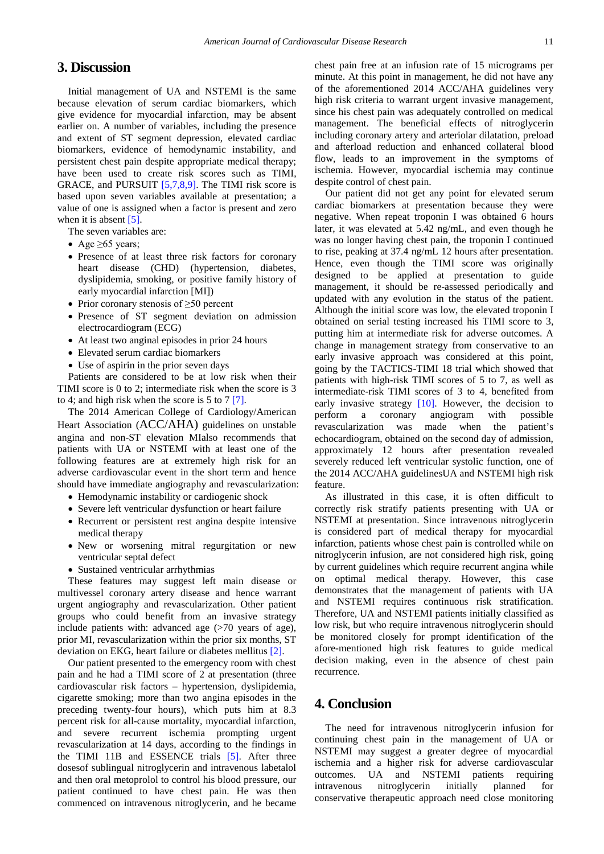#### **3. Discussion**

Initial management of UA and NSTEMI is the same because elevation of serum cardiac biomarkers, which give evidence for myocardial infarction, may be absent earlier on. A number of variables, including the presence and extent of ST segment depression, elevated cardiac biomarkers, evidence of hemodynamic instability, and persistent chest pain despite appropriate medical therapy; have been used to create risk scores such as TIMI, GRACE, and PURSUIT [\[5,7,8,9\].](#page-3-2) The TIMI risk score is based upon seven variables available at presentation; a value of one is assigned when a factor is present and zero when it is absent [\[5\].](#page-3-2)

The seven variables are:

- Age  $\geq 65$  years;
- Presence of at least three risk factors for coronary heart disease (CHD) (hypertension, diabetes, dyslipidemia, smoking, or positive family history of early myocardial infarction [MI])
- Prior coronary stenosis of ≥50 percent
- Presence of ST segment deviation on admission electrocardiogram (ECG)
- At least two anginal episodes in prior 24 hours
- Elevated serum cardiac biomarkers
- Use of aspirin in the prior seven days

Patients are considered to be at low risk when their TIMI score is 0 to 2; intermediate risk when the score is 3 to 4; and high risk when the score is 5 to 7 [\[7\].](#page-3-3)

The 2014 American College of Cardiology/American Heart Association (ACC/AHA) guidelines on unstable angina and non-ST elevation MIalso recommends that patients with UA or NSTEMI with at least one of the following features are at extremely high risk for an adverse cardiovascular event in the short term and hence should have immediate angiography and revascularization:

- Hemodynamic instability or cardiogenic shock
- Severe left ventricular dysfunction or heart failure
- Recurrent or persistent rest angina despite intensive medical therapy
- New or worsening mitral regurgitation or new ventricular septal defect
- Sustained ventricular arrhythmias

These features may suggest left main disease or multivessel coronary artery disease and hence warrant urgent angiography and revascularization. Other patient groups who could benefit from an invasive strategy include patients with: advanced age  $(>70$  years of age), prior MI, revascularization within the prior six months, ST deviation on EKG, heart failure or diabetes mellitus [\[2\].](#page-3-1)

Our patient presented to the emergency room with chest pain and he had a TIMI score of 2 at presentation (three cardiovascular risk factors – hypertension, dyslipidemia, cigarette smoking; more than two angina episodes in the preceding twenty-four hours), which puts him at 8.3 percent risk for all-cause mortality, myocardial infarction, and severe recurrent ischemia prompting urgent revascularization at 14 days, according to the findings in the TIMI 11B and ESSENCE trials [\[5\].](#page-3-2) After three dosesof sublingual nitroglycerin and intravenous labetalol and then oral metoprolol to control his blood pressure, our patient continued to have chest pain. He was then commenced on intravenous nitroglycerin, and he became

chest pain free at an infusion rate of 15 micrograms per minute. At this point in management, he did not have any of the aforementioned 2014 ACC/AHA guidelines very high risk criteria to warrant urgent invasive management, since his chest pain was adequately controlled on medical management. The beneficial effects of nitroglycerin including coronary artery and arteriolar dilatation, preload and afterload reduction and enhanced collateral blood flow, leads to an improvement in the symptoms of ischemia. However, myocardial ischemia may continue despite control of chest pain.

Our patient did not get any point for elevated serum cardiac biomarkers at presentation because they were negative. When repeat troponin I was obtained 6 hours later, it was elevated at 5.42 ng/mL, and even though he was no longer having chest pain, the troponin I continued to rise, peaking at 37.4 ng/mL 12 hours after presentation. Hence, even though the TIMI score was originally designed to be applied at presentation to guide management, it should be re-assessed periodically and updated with any evolution in the status of the patient. Although the initial score was low, the elevated troponin I obtained on serial testing increased his TIMI score to 3, putting him at intermediate risk for adverse outcomes. A change in management strategy from conservative to an early invasive approach was considered at this point, going by the TACTICS-TIMI 18 trial which showed that patients with high-risk TIMI scores of 5 to 7, as well as intermediate-risk TIMI scores of 3 to 4, benefited from early invasive strategy [\[10\].](#page-3-4) However, the decision to perform a coronary angiogram with possible revascularization was made when the patient's echocardiogram, obtained on the second day of admission, approximately 12 hours after presentation revealed severely reduced left ventricular systolic function, one of the 2014 ACC/AHA guidelinesUA and NSTEMI high risk feature.

As illustrated in this case, it is often difficult to correctly risk stratify patients presenting with UA or NSTEMI at presentation. Since intravenous nitroglycerin is considered part of medical therapy for myocardial infarction, patients whose chest pain is controlled while on nitroglycerin infusion, are not considered high risk, going by current guidelines which require recurrent angina while on optimal medical therapy. However, this case demonstrates that the management of patients with UA and NSTEMI requires continuous risk stratification. Therefore, UA and NSTEMI patients initially classified as low risk, but who require intravenous nitroglycerin should be monitored closely for prompt identification of the afore-mentioned high risk features to guide medical decision making, even in the absence of chest pain recurrence.

#### **4. Conclusion**

The need for intravenous nitroglycerin infusion for continuing chest pain in the management of UA or NSTEMI may suggest a greater degree of myocardial ischemia and a higher risk for adverse cardiovascular outcomes. UA and NSTEMI patients requiring<br>intravenous nitroglycerin initially planned for intravenous nitroglycerin initially planned for conservative therapeutic approach need close monitoring